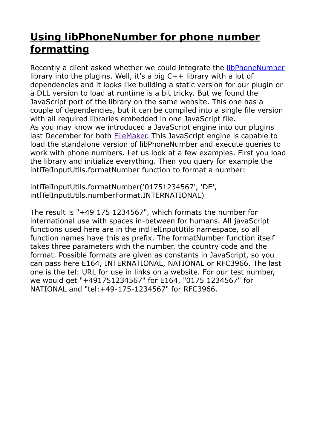## **[Using libPhoneNumber for phone number](https://www.mbs-plugins.com/archive/2020-04-17/Using_libPhoneNumber_for_phone/monkeybreadsoftware_blog_filemaker)  [formatting](https://www.mbs-plugins.com/archive/2020-04-17/Using_libPhoneNumber_for_phone/monkeybreadsoftware_blog_filemaker)**

Recently a client asked whether we could integrate the [libPhoneNumber](https://github.com/google/libphonenumber) library into the plugins. Well, it's a big C++ library with a lot of dependencies and it looks like building a static version for our plugin or a DLL version to load at runtime is a bit tricky. But we found the JavaScript port of the library on the same website. This one has a couple of dependencies, but it can be compiled into a single file version with all required libraries embedded in one JavaScript file. As you may know we introduced a JavaScript engine into our plugins last December for both [FileMaker.](https://www.mbs-plugins.com/archive/2019-12-09/Our_JavaScript_engine_for_File/monkeybreadsoftware_blog_filemaker) This JavaScript engine is capable to load the standalone version of libPhoneNumber and execute queries to work with phone numbers. Let us look at a few examples. First you load the library and initialize everything. Then you query for example the intlTelInputUtils.formatNumber function to format a number:

intlTelInputUtils.formatNumber('01751234567', 'DE', intlTelInputUtils.numberFormat.INTERNATIONAL)

The result is "+49 175 1234567", which formats the number for international use with spaces in-between for humans. All javaScript functions used here are in the intlTelInputUtils namespace, so all function names have this as prefix. The formatNumber function itself takes three parameters with the number, the country code and the format. Possible formats are given as constants in JavaScript, so you can pass here E164, INTERNATIONAL, NATIONAL or RFC3966. The last one is the tel: URL for use in links on a website. For our test number, we would get "+491751234567" for E164, "0175 1234567" for NATIONAL and "tel:+49-175-1234567" for RFC3966.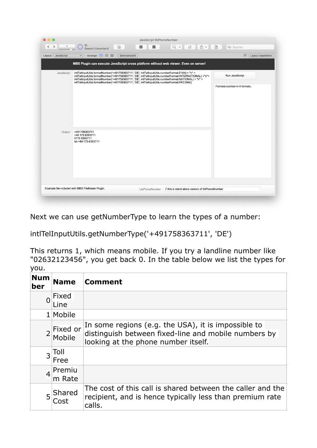| Layout: JavaScript | Anzeige: $\Box \equiv \boxplus$<br>Seitenansicht<br>$\check{~}$                                                                                                                                                                                                                                                                                                                                                               | $A^a$<br>Layout bearbeiten   |
|--------------------|-------------------------------------------------------------------------------------------------------------------------------------------------------------------------------------------------------------------------------------------------------------------------------------------------------------------------------------------------------------------------------------------------------------------------------|------------------------------|
|                    | MBS Plugin can execute JavaScript cross platform without web viewer. Even on server!                                                                                                                                                                                                                                                                                                                                          |                              |
| JavaScript         | intlTellnputUtils.formatNumber('+491758363711', 'DE', intlTellnputUtils.numberFormat.E164) + "\r" +<br>intlTellnputUtils.formatNumber('+491758363711', 'DE', intlTellnputUtils.numberFormat.INTERNATIONAL) +"\r"+<br>intlTelInputUtils.formatNumber('+491758363711', 'DE', intlTelInputUtils.numberFormat.NATIONAL) + "\r" +<br>intlTellnputUtils.formatNumber('+491758363711', 'DE', intlTellnputUtils.numberFormat.RFC3966) | Run JavaScript               |
|                    |                                                                                                                                                                                                                                                                                                                                                                                                                               | Formats number in 4 formats. |
|                    |                                                                                                                                                                                                                                                                                                                                                                                                                               |                              |
|                    |                                                                                                                                                                                                                                                                                                                                                                                                                               |                              |
|                    |                                                                                                                                                                                                                                                                                                                                                                                                                               |                              |
|                    |                                                                                                                                                                                                                                                                                                                                                                                                                               |                              |
|                    |                                                                                                                                                                                                                                                                                                                                                                                                                               |                              |
| Output             | +491758363711<br>+49 175 8363711<br>0175 8363711<br>tel:+49-175-8363711                                                                                                                                                                                                                                                                                                                                                       |                              |
|                    |                                                                                                                                                                                                                                                                                                                                                                                                                               |                              |
|                    |                                                                                                                                                                                                                                                                                                                                                                                                                               |                              |
|                    |                                                                                                                                                                                                                                                                                                                                                                                                                               |                              |
|                    |                                                                                                                                                                                                                                                                                                                                                                                                                               |                              |
|                    |                                                                                                                                                                                                                                                                                                                                                                                                                               |                              |

Next we can use getNumberType to learn the types of a number:

intlTelInputUtils.getNumberType('+491758363711', 'DE')

This returns 1, which means mobile. If you try a landline number like "02632123456", you get back 0. In the table below we list the types for you.

| <b>Num</b><br>ber | <b>Name</b>        | <b>Comment</b>                                                                                                                                     |
|-------------------|--------------------|----------------------------------------------------------------------------------------------------------------------------------------------------|
| $\overline{0}$    | Fixed<br>Line      |                                                                                                                                                    |
|                   | 1 Mobile           |                                                                                                                                                    |
| $\overline{2}$    | Fixed or<br>Mobile | In some regions (e.g. the USA), it is impossible to<br>distinguish between fixed-line and mobile numbers by<br>looking at the phone number itself. |
| $\overline{3}$    | Toll<br>Free       |                                                                                                                                                    |
| $\overline{4}$    | Premiu<br>m Rate   |                                                                                                                                                    |
| 5                 | Shared<br>Cost     | The cost of this call is shared between the caller and the<br>recipient, and is hence typically less than premium rate<br>calls.                   |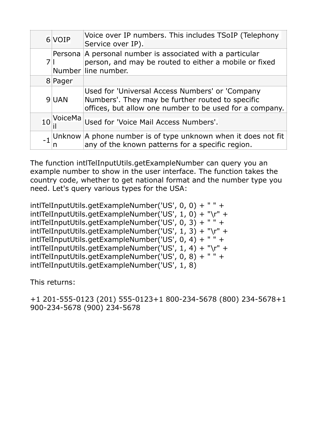|    | 6 VOIP  | Voice over IP numbers. This includes TSoIP (Telephony<br>Service over IP).                                                                                     |
|----|---------|----------------------------------------------------------------------------------------------------------------------------------------------------------------|
|    |         | Persona A personal number is associated with a particular<br>person, and may be routed to either a mobile or fixed<br>Number line number.                      |
|    | 8 Pager |                                                                                                                                                                |
|    | 9UAN    | Used for 'Universal Access Numbers' or 'Company<br>Numbers'. They may be further routed to specific<br>offices, but allow one number to be used for a company. |
| 10 | VoiceMa | Used for 'Voice Mail Access Numbers'.                                                                                                                          |
|    |         | Unknow $ A$ phone number is of type unknown when it does not fit n $ B $ any of the known patterns for a specific region.                                      |

The function intlTelInputUtils.getExampleNumber can query you an example number to show in the user interface. The function takes the country code, whether to get national format and the number type you need. Let's query various types for the USA:

intlTelInputUtils.getExampleNumber('US', 0, 0) + " " + intlTelInputUtils.getExampleNumber('US', 1, 0) + "\r" + intlTelInputUtils.getExampleNumber('US', 0, 3) + " " + intlTelInputUtils.getExampleNumber('US', 1, 3) + "\r" + intlTelInputUtils.getExampleNumber('US', 0, 4) + " " + intlTelInputUtils.getExampleNumber('US', 1, 4) + "\r" + intlTelInputUtils.getExampleNumber('US', 0, 8) + " " + intlTelInputUtils.getExampleNumber('US', 1, 8)

This returns:

+1 201-555-0123 (201) 555-0123+1 800-234-5678 (800) 234-5678+1 900-234-5678 (900) 234-5678